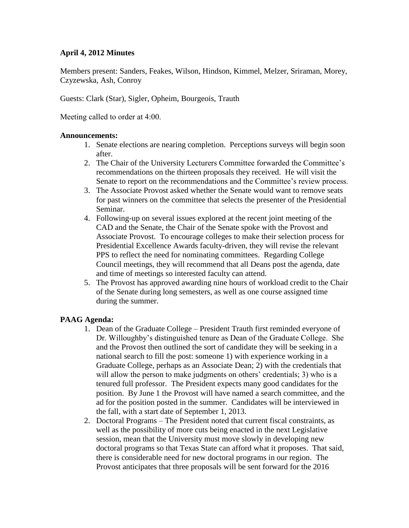### **April 4, 2012 Minutes**

Members present: Sanders, Feakes, Wilson, Hindson, Kimmel, Melzer, Sriraman, Morey, Czyzewska, Ash, Conroy

Guests: Clark (Star), Sigler, Opheim, Bourgeois, Trauth

Meeting called to order at 4:00.

### **Announcements:**

- 1. Senate elections are nearing completion. Perceptions surveys will begin soon after.
- 2. The Chair of the University Lecturers Committee forwarded the Committee's recommendations on the thirteen proposals they received. He will visit the Senate to report on the recommendations and the Committee's review process.
- 3. The Associate Provost asked whether the Senate would want to remove seats for past winners on the committee that selects the presenter of the Presidential Seminar.
- 4. Following-up on several issues explored at the recent joint meeting of the CAD and the Senate, the Chair of the Senate spoke with the Provost and Associate Provost. To encourage colleges to make their selection process for Presidential Excellence Awards faculty-driven, they will revise the relevant PPS to reflect the need for nominating committees. Regarding College Council meetings, they will recommend that all Deans post the agenda, date and time of meetings so interested faculty can attend.
- 5. The Provost has approved awarding nine hours of workload credit to the Chair of the Senate during long semesters, as well as one course assigned time during the summer.

## **PAAG Agenda:**

- 1. Dean of the Graduate College President Trauth first reminded everyone of Dr. Willoughby's distinguished tenure as Dean of the Graduate College. She and the Provost then outlined the sort of candidate they will be seeking in a national search to fill the post: someone 1) with experience working in a Graduate College, perhaps as an Associate Dean; 2) with the credentials that will allow the person to make judgments on others' credentials; 3) who is a tenured full professor. The President expects many good candidates for the position. By June 1 the Provost will have named a search committee, and the ad for the position posted in the summer. Candidates will be interviewed in the fall, with a start date of September 1, 2013.
- 2. Doctoral Programs The President noted that current fiscal constraints, as well as the possibility of more cuts being enacted in the next Legislative session, mean that the University must move slowly in developing new doctoral programs so that Texas State can afford what it proposes. That said, there is considerable need for new doctoral programs in our region. The Provost anticipates that three proposals will be sent forward for the 2016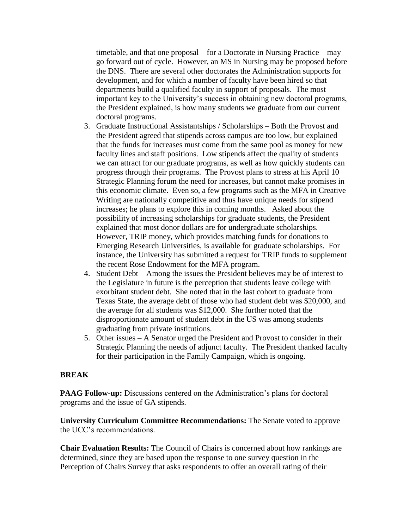timetable, and that one proposal – for a Doctorate in Nursing Practice – may go forward out of cycle. However, an MS in Nursing may be proposed before the DNS. There are several other doctorates the Administration supports for development, and for which a number of faculty have been hired so that departments build a qualified faculty in support of proposals. The most important key to the University's success in obtaining new doctoral programs, the President explained, is how many students we graduate from our current doctoral programs.

- 3. Graduate Instructional Assistantships / Scholarships Both the Provost and the President agreed that stipends across campus are too low, but explained that the funds for increases must come from the same pool as money for new faculty lines and staff positions. Low stipends affect the quality of students we can attract for our graduate programs, as well as how quickly students can progress through their programs. The Provost plans to stress at his April 10 Strategic Planning forum the need for increases, but cannot make promises in this economic climate. Even so, a few programs such as the MFA in Creative Writing are nationally competitive and thus have unique needs for stipend increases; he plans to explore this in coming months. Asked about the possibility of increasing scholarships for graduate students, the President explained that most donor dollars are for undergraduate scholarships. However, TRIP money, which provides matching funds for donations to Emerging Research Universities, is available for graduate scholarships. For instance, the University has submitted a request for TRIP funds to supplement the recent Rose Endowment for the MFA program.
- 4. Student Debt Among the issues the President believes may be of interest to the Legislature in future is the perception that students leave college with exorbitant student debt. She noted that in the last cohort to graduate from Texas State, the average debt of those who had student debt was \$20,000, and the average for all students was \$12,000. She further noted that the disproportionate amount of student debt in the US was among students graduating from private institutions.
- 5. Other issues A Senator urged the President and Provost to consider in their Strategic Planning the needs of adjunct faculty. The President thanked faculty for their participation in the Family Campaign, which is ongoing.

### **BREAK**

**PAAG Follow-up:** Discussions centered on the Administration's plans for doctoral programs and the issue of GA stipends.

**University Curriculum Committee Recommendations:** The Senate voted to approve the UCC's recommendations.

**Chair Evaluation Results:** The Council of Chairs is concerned about how rankings are determined, since they are based upon the response to one survey question in the Perception of Chairs Survey that asks respondents to offer an overall rating of their